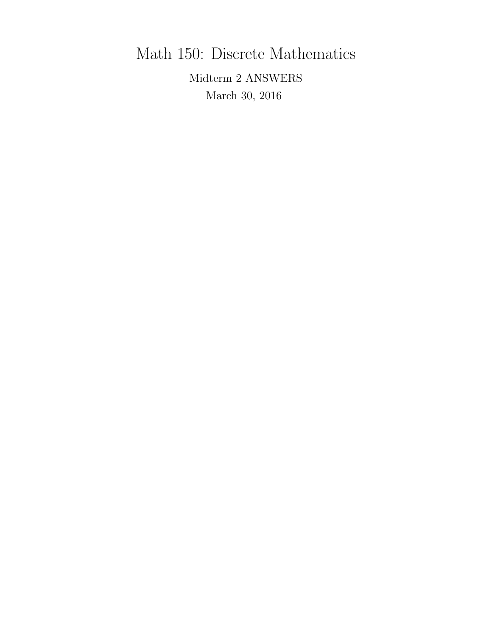Math 150: Discrete Mathematics

Midterm 2 ANSWERS March 30, 2016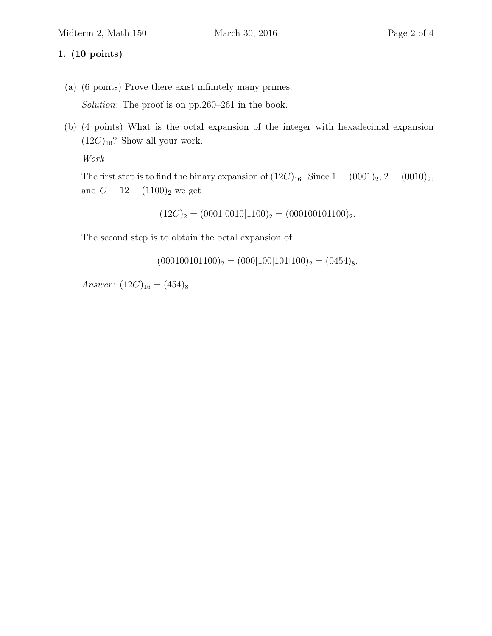## 1. (10 points)

- (a) (6 points) Prove there exist infinitely many primes. Solution: The proof is on pp.260–261 in the book.
- (b) (4 points) What is the octal expansion of the integer with hexadecimal expansion  $(12C)_{16}$ ? Show all your work.

Work:

The first step is to find the binary expansion of  $(12C)_{16}$ . Since  $1 = (0001)_2$ ,  $2 = (0010)_2$ , and  $C = 12 = (1100)<sub>2</sub>$  we get

 $(12C)_2 = (0001|0010|1100)_2 = (000100101100)_2.$ 

The second step is to obtain the octal expansion of

 $(000100101100)_2 = (000|100|101|100)_2 = (0454)_8.$ 

Answer:  $(12C)_{16} = (454)_8$ .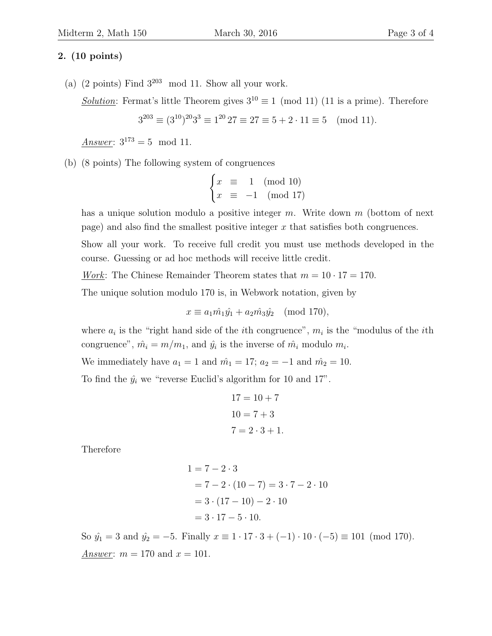## 2. (10 points)

(a)  $(2 \text{ points})$  Find  $3^{203} \text{ mod } 11$ . Show all your work.

*Solution*: Fermat's little Theorem gives  $3^{10} \equiv 1 \pmod{11}$  (11 is a prime). Therefore  $3^{203} \equiv (3^{10})^{20}3^3 \equiv 1^{20}27 \equiv 27 \equiv 5 + 2 \cdot 11 \equiv 5 \pmod{11}.$ 

Answer:  $3^{173} = 5 \mod 11$ .

(b) (8 points) The following system of congruences

$$
\begin{cases} x \equiv 1 \pmod{10} \\ x \equiv -1 \pmod{17} \end{cases}
$$

has a unique solution modulo a positive integer m. Write down m (bottom of next page) and also find the smallest positive integer x that satisfies both congruences.

Show all your work. To receive full credit you must use methods developed in the course. Guessing or ad hoc methods will receive little credit.

Work: The Chinese Remainder Theorem states that  $m = 10 \cdot 17 = 170$ .

The unique solution modulo 170 is, in Webwork notation, given by

$$
x \equiv a_1 \hat{m}_1 \hat{y}_1 + a_2 \hat{m}_3 \hat{y}_2 \pmod{170},
$$

where  $a_i$  is the "right hand side of the *i*<sup>th</sup> congruence",  $m_i$  is the "modulus of the *i*<sup>th</sup> congruence",  $\hat{m}_i = m/m_1$ , and  $\hat{y}_i$  is the inverse of  $\hat{m}_i$  modulo  $m_i$ .

We immediately have  $a_1 = 1$  and  $\hat{m_1} = 17$ ;  $a_2 = -1$  and  $\hat{m_2} = 10$ .

To find the  $\hat{y}_i$  we "reverse Euclid's algorithm for 10 and 17".

$$
17 = 10 + 7
$$

$$
10 = 7 + 3
$$

$$
7 = 2 \cdot 3 + 1.
$$

Therefore

$$
1 = 7 - 2 \cdot 3
$$
  
= 7 - 2 \cdot (10 - 7) = 3 \cdot 7 - 2 \cdot 10  
= 3 \cdot (17 - 10) - 2 \cdot 10  
= 3 \cdot 17 - 5 \cdot 10.

So  $\hat{y}_1 = 3$  and  $\hat{y}_2 = -5$ . Finally  $x \equiv 1 \cdot 17 \cdot 3 + (-1) \cdot 10 \cdot (-5) \equiv 101 \pmod{170}$ . Answer:  $m = 170$  and  $x = 101$ .